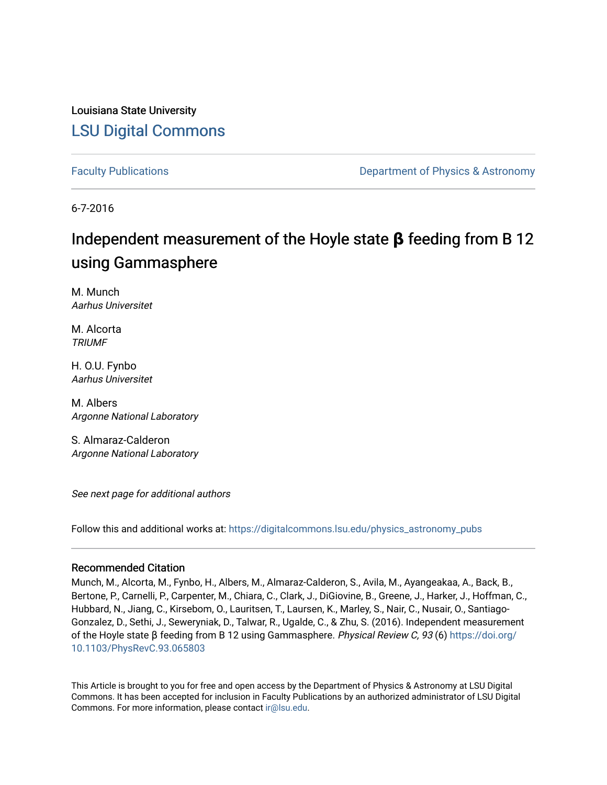Louisiana State University [LSU Digital Commons](https://digitalcommons.lsu.edu/)

[Faculty Publications](https://digitalcommons.lsu.edu/physics_astronomy_pubs) **Example 2** Constant Department of Physics & Astronomy

6-7-2016

# Independent measurement of the Hoyle state **β** feeding from B 12 using Gammasphere

M. Munch Aarhus Universitet

M. Alcorta **TRIUMF** 

H. O.U. Fynbo Aarhus Universitet

M. Albers Argonne National Laboratory

S. Almaraz-Calderon Argonne National Laboratory

See next page for additional authors

Follow this and additional works at: [https://digitalcommons.lsu.edu/physics\\_astronomy\\_pubs](https://digitalcommons.lsu.edu/physics_astronomy_pubs?utm_source=digitalcommons.lsu.edu%2Fphysics_astronomy_pubs%2F3064&utm_medium=PDF&utm_campaign=PDFCoverPages) 

## Recommended Citation

Munch, M., Alcorta, M., Fynbo, H., Albers, M., Almaraz-Calderon, S., Avila, M., Ayangeakaa, A., Back, B., Bertone, P., Carnelli, P., Carpenter, M., Chiara, C., Clark, J., DiGiovine, B., Greene, J., Harker, J., Hoffman, C., Hubbard, N., Jiang, C., Kirsebom, O., Lauritsen, T., Laursen, K., Marley, S., Nair, C., Nusair, O., Santiago-Gonzalez, D., Sethi, J., Seweryniak, D., Talwar, R., Ugalde, C., & Zhu, S. (2016). Independent measurement of the Hoyle state β feeding from B 12 using Gammasphere. Physical Review C, 93 (6) [https://doi.org/](https://doi.org/10.1103/PhysRevC.93.065803) [10.1103/PhysRevC.93.065803](https://doi.org/10.1103/PhysRevC.93.065803)

This Article is brought to you for free and open access by the Department of Physics & Astronomy at LSU Digital Commons. It has been accepted for inclusion in Faculty Publications by an authorized administrator of LSU Digital Commons. For more information, please contact [ir@lsu.edu](mailto:ir@lsu.edu).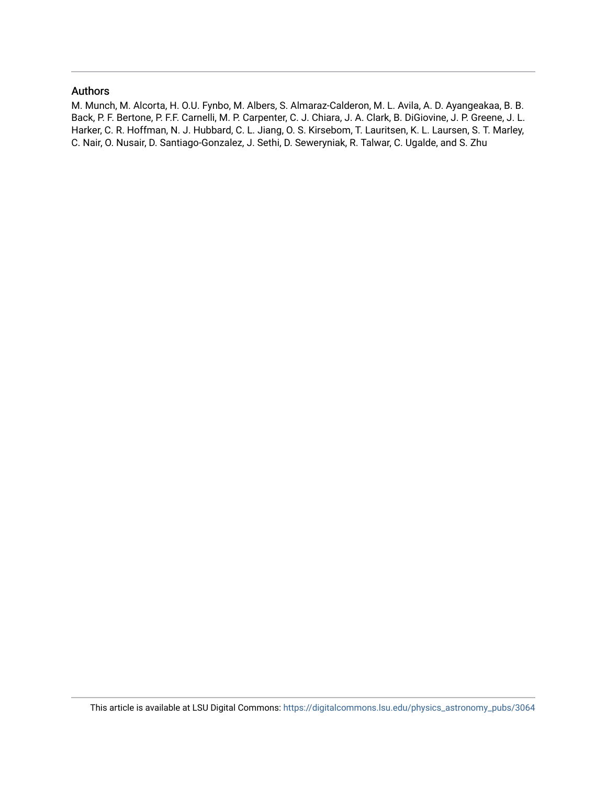## Authors

M. Munch, M. Alcorta, H. O.U. Fynbo, M. Albers, S. Almaraz-Calderon, M. L. Avila, A. D. Ayangeakaa, B. B. Back, P. F. Bertone, P. F.F. Carnelli, M. P. Carpenter, C. J. Chiara, J. A. Clark, B. DiGiovine, J. P. Greene, J. L. Harker, C. R. Hoffman, N. J. Hubbard, C. L. Jiang, O. S. Kirsebom, T. Lauritsen, K. L. Laursen, S. T. Marley, C. Nair, O. Nusair, D. Santiago-Gonzalez, J. Sethi, D. Seweryniak, R. Talwar, C. Ugalde, and S. Zhu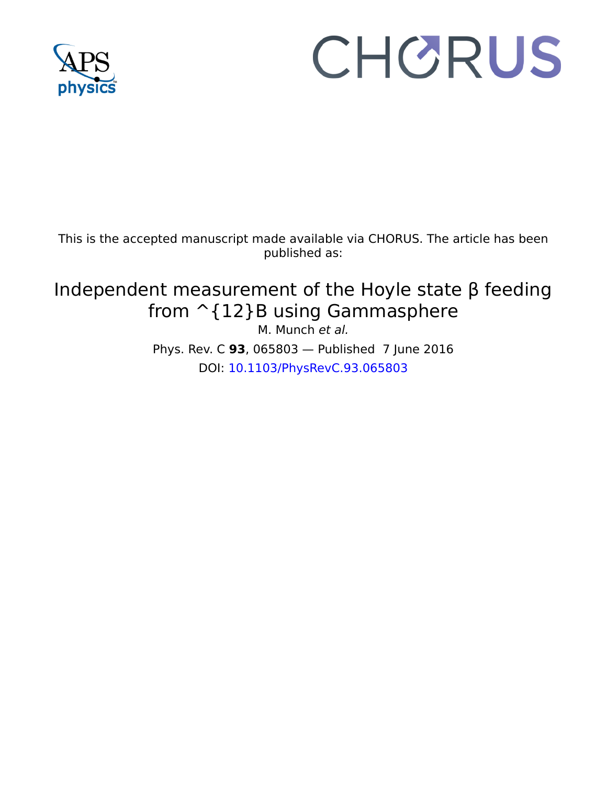

# CHORUS

This is the accepted manuscript made available via CHORUS. The article has been published as:

# Independent measurement of the Hoyle state β feeding from ^{12}B using Gammasphere

M. Munch et al.

Phys. Rev. C **93**, 065803 — Published 7 June 2016 DOI: [10.1103/PhysRevC.93.065803](http://dx.doi.org/10.1103/PhysRevC.93.065803)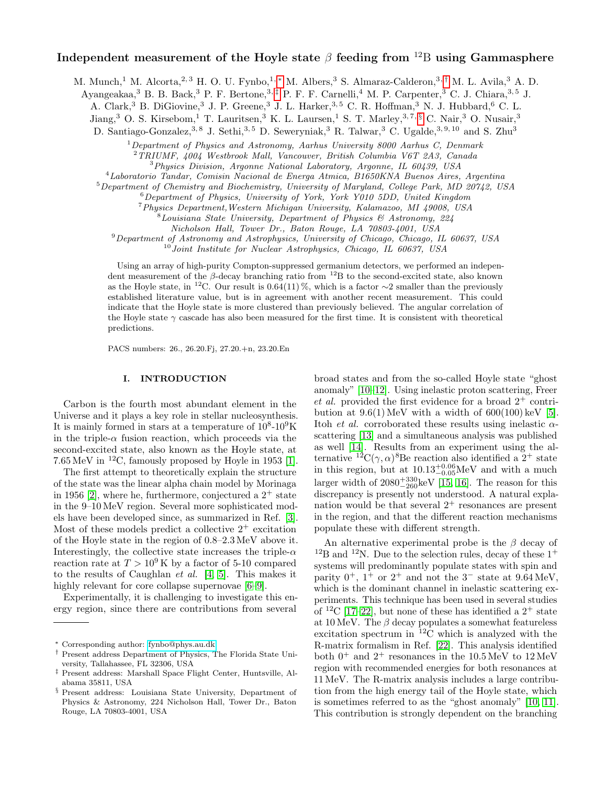## Independent measurement of the Hoyle state  $\beta$  feeding from <sup>12</sup>B using Gammasphere

M. Munch,<sup>1</sup> M. Alcorta,<sup>2, 3</sup> H. O. U. Fynbo,<sup>1,\*</sup> M. Albers,<sup>3</sup> S. Almaraz-Calderon,<sup>3,[†](#page-3-1)</sup> M. L. Avila,<sup>3</sup> A. D.

Ayangeakaa,<sup>3</sup> B. B. Back,<sup>3</sup> P. F. Bertone,<sup>3, [‡](#page-3-2)</sup> P. F. F. Carnelli,<sup>4</sup> M. P. Carpenter,<sup>3</sup> C. J. Chiara,<sup>3,5</sup> J.

A. Clark,<sup>3</sup> B. DiGiovine,<sup>3</sup> J. P. Greene,<sup>3</sup> J. L. Harker,<sup>3,5</sup> C. R. Hoffman,<sup>3</sup> N. J. Hubbard,<sup>6</sup> C. L.

Jiang,<sup>3</sup> O. S. Kirsebom,<sup>1</sup> T. Lauritsen,<sup>3</sup> K. L. Laursen,<sup>1</sup> S. T. Marley,<sup>3,7, [§](#page-3-3)</sup> C. Nair,<sup>3</sup> O. Nusair,<sup>3</sup>

D. Santiago-Gonzalez,  $3, 8$  J. Sethi,  $3, 5$  D. Seweryniak,  $3$  R. Talwar,  $3$  C. Ugalde,  $3, 9, 10$  and S. Zhu<sup>3</sup>

 $1$ Department of Physics and Astronomy, Aarhus University 8000 Aarhus C, Denmark

<sup>2</sup>TRIUMF, 4004 Westbrook Mall, Vancouver, British Columbia V6T 2A3, Canada

<sup>3</sup>Physics Division, Argonne National Laboratory, Argonne, IL 60439, USA

<sup>4</sup>Laboratorio Tandar, Comisin Nacional de Energa Atmica, B1650KNA Buenos Aires, Argentina

<sup>5</sup>Department of Chemistry and Biochemistry, University of Maryland, College Park, MD 20742, USA

 $6$ Department of Physics, University of York, York Y010 5DD, United Kingdom

<sup>7</sup>Physics Department,Western Michigan University, Kalamazoo, MI 49008, USA

 $8$ Louisiana State University, Department of Physics & Astronomy, 224

Nicholson Hall, Tower Dr., Baton Rouge, LA 70803-4001, USA

<sup>9</sup>Department of Astronomy and Astrophysics, University of Chicago, Chicago, IL 60637, USA

 $10$ Joint Institute for Nuclear Astrophysics, Chicago, IL 60637, USA

Using an array of high-purity Compton-suppressed germanium detectors, we performed an independent measurement of the  $\beta$ -decay branching ratio from <sup>12</sup>B to the second-excited state, also known as the Hoyle state, in <sup>12</sup>C. Our result is 0.64(11) %, which is a factor  $\sim$ 2 smaller than the previously established literature value, but is in agreement with another recent measurement. This could indicate that the Hoyle state is more clustered than previously believed. The angular correlation of the Hoyle state  $\gamma$  cascade has also been measured for the first time. It is consistent with theoretical predictions.

PACS numbers: 26., 26.20.Fj, 27.20.+n, 23.20.En

#### I. INTRODUCTION

Carbon is the fourth most abundant element in the Universe and it plays a key role in stellar nucleosynthesis. It is mainly formed in stars at a temperature of  $10^8\t{-}10^9$ K in the triple- $\alpha$  fusion reaction, which proceeds via the second-excited state, also known as the Hoyle state, at 7.65 MeV in <sup>12</sup>C, famously proposed by Hoyle in 1953 [\[1\]](#page-7-0).

The first attempt to theoretically explain the structure of the state was the linear alpha chain model by Morinaga in 1956 [\[2\]](#page-7-1), where he, furthermore, conjectured a  $2^+$  state in the 9–10 MeV region. Several more sophisticated models have been developed since, as summarized in Ref. [\[3\]](#page-7-2). Most of these models predict a collective  $2^+$  excitation of the Hoyle state in the region of 0.8–2.3 MeV above it. Interestingly, the collective state increases the triple- $\alpha$ reaction rate at  $T > 10^9$  K by a factor of 5-10 compared to the results of Caughlan et al. [\[4,](#page-7-3) [5\]](#page-7-4). This makes it highly relevant for core collapse supernovae  $[6-9]$ .

Experimentally, it is challenging to investigate this energy region, since there are contributions from several broad states and from the so-called Hoyle state "ghost anomaly" [\[10](#page-7-7)[–12\]](#page-7-8). Using inelastic proton scattering, Freer et al. provided the first evidence for a broad  $2^+$  contribution at  $9.6(1)$  MeV with a width of  $600(100)$  keV [\[5\]](#page-7-4). Itoh *et al.* corroborated these results using inelastic  $\alpha$ scattering [\[13\]](#page-7-9) and a simultaneous analysis was published as well [\[14\]](#page-7-10). Results from an experiment using the alternative  ${}^{12}C(\gamma, \alpha)$ <sup>8</sup>Be reaction also identified a 2<sup>+</sup> state in this region, but at  $10.13^{+0.06}_{-0.05}$ MeV and with a much larger width of  $2080^{+330}_{-260}$  keV [\[15,](#page-7-11) [16\]](#page-7-12). The reason for this discrepancy is presently not understood. A natural explanation would be that several  $2^+$  resonances are present in the region, and that the different reaction mechanisms populate these with different strength.

An alternative experimental probe is the  $\beta$  decay of <sup>12</sup>B and <sup>12</sup>N. Due to the selection rules, decay of these  $1^+$ systems will predominantly populate states with spin and parity  $0^+$ ,  $1^+$  or  $2^+$  and not the  $3^-$  state at 9.64 MeV, which is the dominant channel in inelastic scattering experiments. This technique has been used in several studies of <sup>12</sup>C [\[17](#page-7-13)[–22\]](#page-7-14), but none of these has identified a  $2^+$  state at 10 MeV. The  $\beta$  decay populates a somewhat featureless excitation spectrum in <sup>12</sup>C which is analyzed with the R-matrix formalism in Ref. [\[22\]](#page-7-14). This analysis identified both  $0^+$  and  $2^+$  resonances in the 10.5 MeV to 12 MeV region with recommended energies for both resonances at 11 MeV. The R-matrix analysis includes a large contribution from the high energy tail of the Hoyle state, which is sometimes referred to as the "ghost anomaly" [\[10,](#page-7-7) [11\]](#page-7-15). This contribution is strongly dependent on the branching

<span id="page-3-0"></span><sup>∗</sup> Corresponding author: [fynbo@phys.au.dk](mailto:fynbo@phys.au.dk)

<span id="page-3-1"></span><sup>†</sup> Present address Department of Physics, The Florida State University, Tallahassee, FL 32306, USA

<span id="page-3-2"></span><sup>‡</sup> Present address: Marshall Space Flight Center, Huntsville, Alabama 35811, USA

<span id="page-3-3"></span><sup>§</sup> Present address: Louisiana State University, Department of Physics & Astronomy, 224 Nicholson Hall, Tower Dr., Baton Rouge, LA 70803-4001, USA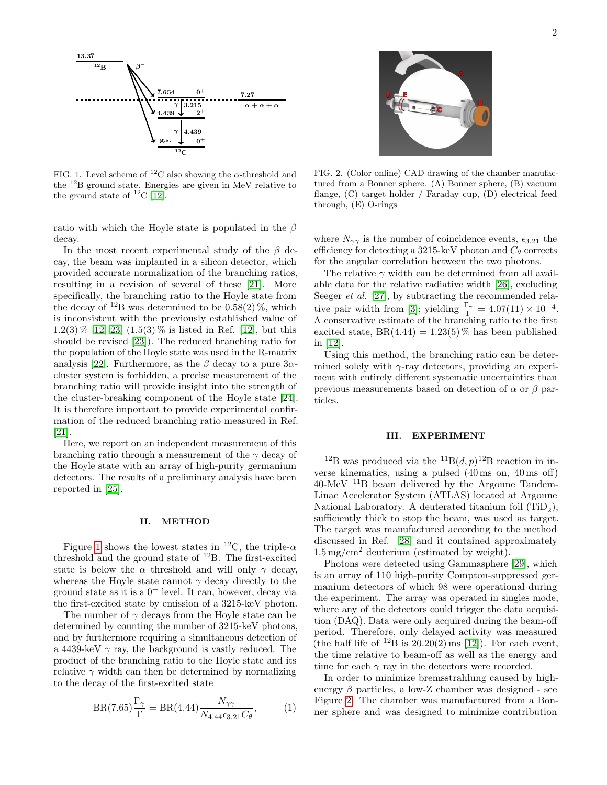

<span id="page-4-0"></span>FIG. 1. Level scheme of  ${}^{12}$ C also showing the  $\alpha$ -threshold and the <sup>12</sup>B ground state. Energies are given in MeV relative to the ground state of  $^{12}C$  [\[12\]](#page-7-8).

ratio with which the Hoyle state is populated in the  $\beta$ decay.

In the most recent experimental study of the  $\beta$  decay, the beam was implanted in a silicon detector, which provided accurate normalization of the branching ratios, resulting in a revision of several of these [\[21\]](#page-7-16). More specifically, the branching ratio to the Hoyle state from the decay of <sup>12</sup>B was determined to be  $0.58(2)\%$ , which is inconsistent with the previously established value of  $1.2(3)\%$  [\[12,](#page-7-8) [23\]](#page-8-0)  $(1.5(3)\%$  is listed in Ref. [\[12\]](#page-7-8), but this should be revised [\[23\]](#page-8-0)). The reduced branching ratio for the population of the Hoyle state was used in the R-matrix analysis [\[22\]](#page-7-14). Furthermore, as the  $\beta$  decay to a pure  $3\alpha$ cluster system is forbidden, a precise measurement of the branching ratio will provide insight into the strength of the cluster-breaking component of the Hoyle state [\[24\]](#page-8-1). It is therefore important to provide experimental confirmation of the reduced branching ratio measured in Ref. [\[21\]](#page-7-16).

Here, we report on an independent measurement of this branching ratio through a measurement of the  $\gamma$  decay of the Hoyle state with an array of high-purity germanium detectors. The results of a preliminary analysis have been reported in [\[25\]](#page-8-2).

#### II. METHOD

Figure [1](#page-4-0) shows the lowest states in <sup>12</sup>C, the triple- $\alpha$ threshold and the ground state of  $^{12}B$ . The first-excited state is below the  $\alpha$  threshold and will only  $\gamma$  decay, whereas the Hoyle state cannot  $\gamma$  decay directly to the ground state as it is a  $0^+$  level. It can, however, decay via the first-excited state by emission of a 3215-keV photon.

The number of  $\gamma$  decays from the Hoyle state can be determined by counting the number of 3215-keV photons, and by furthermore requiring a simultaneous detection of a 4439-keV  $\gamma$  ray, the background is vastly reduced. The product of the branching ratio to the Hoyle state and its relative  $\gamma$  width can then be determined by normalizing to the decay of the first-excited state

<span id="page-4-2"></span>BR(7.65) 
$$
\frac{\Gamma_{\gamma}}{\Gamma}
$$
 = BR(4.44)  $\frac{N_{\gamma\gamma}}{N_{4.44} \epsilon_{3.21} C_{\theta}}$ , (1)



<span id="page-4-1"></span>FIG. 2. (Color online) CAD drawing of the chamber manufactured from a Bonner sphere. (A) Bonner sphere, (B) vacuum flange, (C) target holder / Faraday cup, (D) electrical feed through, (E) O-rings

where  $N_{\gamma\gamma}$  is the number of coincidence events,  $\epsilon_{3.21}$  the efficiency for detecting a 3215-keV photon and  $C_{\theta}$  corrects for the angular correlation between the two photons.

The relative  $\gamma$  width can be determined from all available data for the relative radiative width [\[26\]](#page-8-3), excluding Seeger *et al.* [\[27\]](#page-8-4), by subtracting the recommended rela-tive pair width from [\[3\]](#page-7-2); yielding  $\frac{\Gamma_{\gamma}}{\Gamma} = 4.07(11) \times 10^{-4}$ . A conservative estimate of the branching ratio to the first excited state,  $BR(4.44) = 1.23(5)\%$  has been published in [\[12\]](#page-7-8).

Using this method, the branching ratio can be determined solely with  $\gamma$ -ray detectors, providing an experiment with entirely different systematic uncertainties than previous measurements based on detection of  $\alpha$  or  $\beta$  particles.

#### III. EXPERIMENT

<sup>12</sup>B was produced via the <sup>11</sup>B $(d, p)$ <sup>12</sup>B reaction in inverse kinematics, using a pulsed (40 ms on, 40 ms off) 40-MeV <sup>11</sup>B beam delivered by the Argonne Tandem-Linac Accelerator System (ATLAS) located at Argonne National Laboratory. A deuterated titanium foil  $(TiD_2)$ , sufficiently thick to stop the beam, was used as target. The target was manufactured according to the method discussed in Ref. [\[28\]](#page-8-5) and it contained approximately 1.5 mg/cm<sup>2</sup> deuterium (estimated by weight).

Photons were detected using Gammasphere [\[29\]](#page-8-6), which is an array of 110 high-purity Compton-suppressed germanium detectors of which 98 were operational during the experiment. The array was operated in singles mode, where any of the detectors could trigger the data acquisition (DAQ). Data were only acquired during the beam-off period. Therefore, only delayed activity was measured (the half life of  $^{12}B$  is  $20.20(2)$  ms [\[12\]](#page-7-8)). For each event, the time relative to beam-off as well as the energy and time for each  $\gamma$  ray in the detectors were recorded.

In order to minimize bremsstrahlung caused by highenergy  $\beta$  particles, a low-Z chamber was designed - see Figure [2.](#page-4-1) The chamber was manufactured from a Bonner sphere and was designed to minimize contribution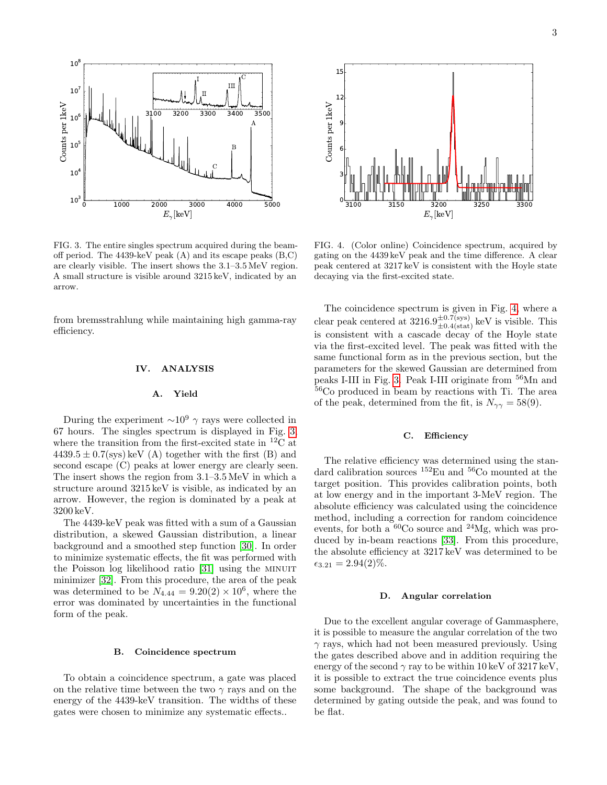

<span id="page-5-0"></span>FIG. 3. The entire singles spectrum acquired during the beamoff period. The 4439-keV peak (A) and its escape peaks (B,C) are clearly visible. The insert shows the 3.1–3.5 MeV region. A small structure is visible around 3215 keV, indicated by an arrow.

from bremsstrahlung while maintaining high gamma-ray efficiency.

#### IV. ANALYSIS

#### A. Yield

During the experiment  $\sim 10^9$   $\gamma$  rays were collected in 67 hours. The singles spectrum is displayed in Fig. [3,](#page-5-0) where the transition from the first-excited state in <sup>12</sup>C at  $4439.5 \pm 0.7$ (sys) keV (A) together with the first (B) and second escape (C) peaks at lower energy are clearly seen. The insert shows the region from 3.1–3.5 MeV in which a structure around 3215 keV is visible, as indicated by an arrow. However, the region is dominated by a peak at 3200 keV.

The 4439-keV peak was fitted with a sum of a Gaussian distribution, a skewed Gaussian distribution, a linear background and a smoothed step function [\[30\]](#page-8-7). In order to minimize systematic effects, the fit was performed with the Poisson log likelihood ratio [\[31\]](#page-8-8) using the MINUIT minimizer [\[32\]](#page-8-9). From this procedure, the area of the peak was determined to be  $N_{4.44} = 9.20(2) \times 10^6$ , where the error was dominated by uncertainties in the functional form of the peak.

#### B. Coincidence spectrum

To obtain a coincidence spectrum, a gate was placed on the relative time between the two  $\gamma$  rays and on the energy of the 4439-keV transition. The widths of these gates were chosen to minimize any systematic effects..



<span id="page-5-1"></span>FIG. 4. (Color online) Coincidence spectrum, acquired by gating on the 4439 keV peak and the time difference. A clear peak centered at 3217 keV is consistent with the Hoyle state decaying via the first-excited state.

The coincidence spectrum is given in Fig. [4,](#page-5-1) where a clear peak centered at  $3216.9\frac{\pm 0.7\,\mathrm{(sys)}}{\pm 0.4\,\mathrm{(stat)}}$  keV is visible. This is consistent with a cascade decay of the Hoyle state via the first-excited level. The peak was fitted with the same functional form as in the previous section, but the parameters for the skewed Gaussian are determined from peaks I-III in Fig. [3.](#page-5-0) Peak I-III originate from <sup>56</sup>Mn and <sup>56</sup>Co produced in beam by reactions with Ti. The area of the peak, determined from the fit, is  $N_{\gamma\gamma} = 58(9)$ .

#### C. Efficiency

The relative efficiency was determined using the standard calibration sources <sup>152</sup>Eu and <sup>56</sup>Co mounted at the target position. This provides calibration points, both at low energy and in the important 3-MeV region. The absolute efficiency was calculated using the coincidence method, including a correction for random coincidence events, for both a  $60^{\circ}$ Co source and <sup>24</sup>Mg, which was produced by in-beam reactions [\[33\]](#page-8-10). From this procedure, the absolute efficiency at 3217 keV was determined to be  $\epsilon_{3.21} = 2.94(2)\%.$ 

#### D. Angular correlation

Due to the excellent angular coverage of Gammasphere, it is possible to measure the angular correlation of the two  $\gamma$  rays, which had not been measured previously. Using the gates described above and in addition requiring the energy of the second  $\gamma$  ray to be within 10 keV of 3217 keV, it is possible to extract the true coincidence events plus some background. The shape of the background was determined by gating outside the peak, and was found to be flat.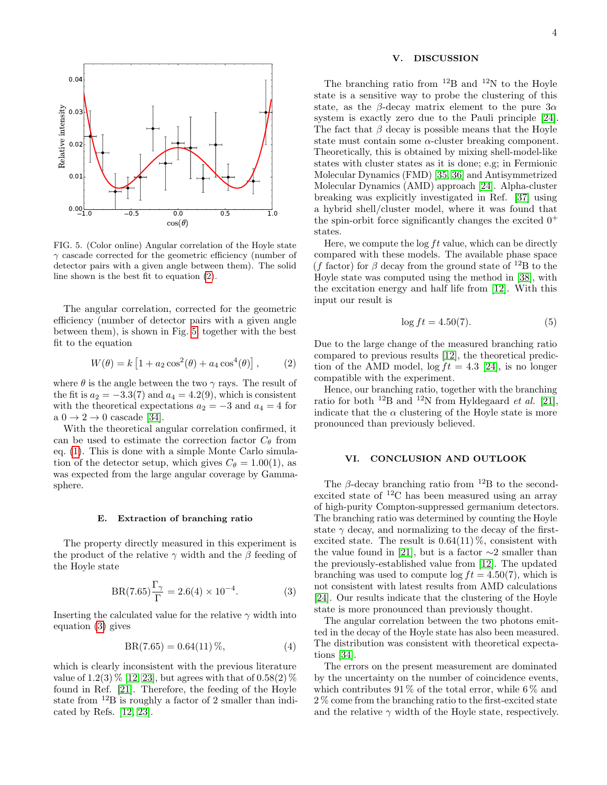

<span id="page-6-1"></span>FIG. 5. (Color online) Angular correlation of the Hoyle state  $\gamma$  cascade corrected for the geometric efficiency (number of detector pairs with a given angle between them). The solid line shown is the best fit to equation [\(2\)](#page-6-0).

The angular correlation, corrected for the geometric efficiency (number of detector pairs with a given angle between them), is shown in Fig. [5,](#page-6-1) together with the best fit to the equation

<span id="page-6-0"></span>
$$
W(\theta) = k \left[ 1 + a_2 \cos^2(\theta) + a_4 \cos^4(\theta) \right],
$$
 (2)

where  $\theta$  is the angle between the two  $\gamma$  rays. The result of the fit is  $a_2 = -3.3(7)$  and  $a_4 = 4.2(9)$ , which is consistent with the theoretical expectations  $a_2 = -3$  and  $a_4 = 4$  for a  $0 \rightarrow 2 \rightarrow 0$  cascade [\[34\]](#page-8-11).

With the theoretical angular correlation confirmed, it can be used to estimate the correction factor  $C_{\theta}$  from eq. [\(1\)](#page-4-2). This is done with a simple Monte Carlo simulation of the detector setup, which gives  $C_{\theta} = 1.00(1)$ , as was expected from the large angular coverage by Gammasphere.

#### E. Extraction of branching ratio

The property directly measured in this experiment is the product of the relative  $\gamma$  width and the  $\beta$  feeding of the Hoyle state

<span id="page-6-2"></span>
$$
BR(7.65) \frac{\Gamma_{\gamma}}{\Gamma} = 2.6(4) \times 10^{-4}.
$$
 (3)

Inserting the calculated value for the relative  $\gamma$  width into equation [\(3\)](#page-6-2) gives

$$
BR(7.65) = 0.64(11)\,\%,\tag{4}
$$

which is clearly inconsistent with the previous literature value of  $1.2(3)\%$  [\[12,](#page-7-8) [23\]](#page-8-0), but agrees with that of  $0.58(2)\%$ found in Ref. [\[21\]](#page-7-16). Therefore, the feeding of the Hoyle state from  $^{12}B$  is roughly a factor of 2 smaller than indicated by Refs. [\[12,](#page-7-8) [23\]](#page-8-0).

#### V. DISCUSSION

The branching ratio from  $^{12}B$  and  $^{12}N$  to the Hoyle state is a sensitive way to probe the clustering of this state, as the β-decay matrix element to the pure  $3\alpha$ system is exactly zero due to the Pauli principle [\[24\]](#page-8-1). The fact that  $\beta$  decay is possible means that the Hoyle state must contain some  $\alpha$ -cluster breaking component. Theoretically, this is obtained by mixing shell-model-like states with cluster states as it is done; e.g; in Fermionic Molecular Dynamics (FMD) [\[35,](#page-8-12) [36\]](#page-8-13) and Antisymmetrized Molecular Dynamics (AMD) approach [\[24\]](#page-8-1). Alpha-cluster breaking was explicitly investigated in Ref. [\[37\]](#page-8-14) using a hybrid shell/cluster model, where it was found that the spin-orbit force significantly changes the excited  $0^+$ states.

Here, we compute the  $\log ft$  value, which can be directly compared with these models. The available phase space (f factor) for  $\beta$  decay from the ground state of <sup>12</sup>B to the Hoyle state was computed using the method in [\[38\]](#page-8-15), with the excitation energy and half life from [\[12\]](#page-7-8). With this input our result is

$$
\log ft = 4.50(7). \tag{5}
$$

Due to the large change of the measured branching ratio compared to previous results [\[12\]](#page-7-8), the theoretical prediction of the AMD model,  $log ft = 4.3$  [\[24\]](#page-8-1), is no longer compatible with the experiment.

Hence, our branching ratio, together with the branching ratio for both <sup>12</sup>B and <sup>12</sup>N from Hyldegaard *et al.* [\[21\]](#page-7-16), indicate that the  $\alpha$  clustering of the Hoyle state is more pronounced than previously believed.

#### VI. CONCLUSION AND OUTLOOK

The  $\beta$ -decay branching ratio from <sup>12</sup>B to the secondexcited state of <sup>12</sup>C has been measured using an array of high-purity Compton-suppressed germanium detectors. The branching ratio was determined by counting the Hoyle state  $\gamma$  decay, and normalizing to the decay of the firstexcited state. The result is  $0.64(11)\%$ , consistent with the value found in [\[21\]](#page-7-16), but is a factor  $\sim$ 2 smaller than the previously-established value from [\[12\]](#page-7-8). The updated branching was used to compute  $log ft = 4.50(7)$ , which is not consistent with latest results from AMD calculations [\[24\]](#page-8-1). Our results indicate that the clustering of the Hoyle state is more pronounced than previously thought.

The angular correlation between the two photons emitted in the decay of the Hoyle state has also been measured. The distribution was consistent with theoretical expectations [\[34\]](#page-8-11).

The errors on the present measurement are dominated by the uncertainty on the number of coincidence events, which contributes  $91\%$  of the total error, while 6% and 2 % come from the branching ratio to the first-excited state and the relative  $\gamma$  width of the Hoyle state, respectively.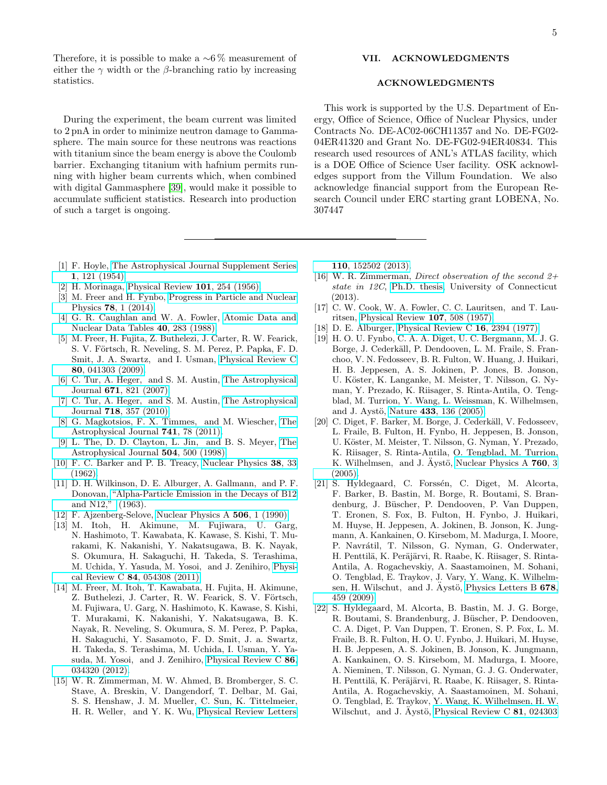Therefore, it is possible to make a  $\sim 6\%$  measurement of either the  $\gamma$  width or the  $\beta$ -branching ratio by increasing statistics.

During the experiment, the beam current was limited to 2 pnA in order to minimize neutron damage to Gammasphere. The main source for these neutrons was reactions with titanium since the beam energy is above the Coulomb barrier. Exchanging titanium with hafnium permits running with higher beam currents which, when combined with digital Gammasphere [\[39\]](#page-8-16), would make it possible to accumulate sufficient statistics. Research into production of such a target is ongoing.

- <span id="page-7-0"></span>[1] F. Hoyle, [The Astrophysical Journal Supplement Series](http://dx.doi.org/10.1086/190005) 1[, 121 \(1954\).](http://dx.doi.org/10.1086/190005)
- <span id="page-7-1"></span>[2] H. Morinaga, [Physical Review](http://dx.doi.org/10.1103/PhysRev.101.254) 101, 254 (1956).
- <span id="page-7-2"></span>[3] M. Freer and H. Fynbo, [Progress in Particle and Nuclear](http://dx.doi.org/10.1016/j.ppnp.2014.06.001) Physics 78[, 1 \(2014\).](http://dx.doi.org/10.1016/j.ppnp.2014.06.001)
- <span id="page-7-3"></span>[4] G. R. Caughlan and W. A. Fowler, [Atomic Data and](http://dx.doi.org/10.1016/0092-640X(88)90009-5) [Nuclear Data Tables](http://dx.doi.org/10.1016/0092-640X(88)90009-5) 40, 283 (1988).
- <span id="page-7-4"></span>[5] M. Freer, H. Fujita, Z. Buthelezi, J. Carter, R. W. Fearick, S. V. Förtsch, R. Neveling, S. M. Perez, P. Papka, F. D. Smit, J. A. Swartz, and I. Usman, [Physical Review C](http://dx.doi.org/10.1103/PhysRevC.80.041303) 80[, 041303 \(2009\).](http://dx.doi.org/10.1103/PhysRevC.80.041303)
- <span id="page-7-5"></span>[6] C. Tur, A. Heger, and S. M. Austin, [The Astrophysical](http://dx.doi.org/10.1086/523095) Journal 671[, 821 \(2007\).](http://dx.doi.org/10.1086/523095)
- [7] C. Tur, A. Heger, and S. M. Austin, [The Astrophysical](http://dx.doi.org/10.1088/0004-637X/718/1/357) Journal 718[, 357 \(2010\).](http://dx.doi.org/10.1088/0004-637X/718/1/357)
- [8] G. Magkotsios, F. X. Timmes, and M. Wiescher, [The](http://dx.doi.org/10.1088/0004-637X/741/2/78) [Astrophysical Journal](http://dx.doi.org/10.1088/0004-637X/741/2/78) 741, 78 (2011).
- <span id="page-7-6"></span>[9] L. The, D. D. Clayton, L. Jin, and B. S. Meyer, [The](http://dx.doi.org/ 10.1086/306057) [Astrophysical Journal](http://dx.doi.org/ 10.1086/306057) 504, 500 (1998).
- <span id="page-7-7"></span>[10] F. C. Barker and P. B. Treacy, [Nuclear Physics](http://dx.doi.org/10.1016/0029-5582(62)91014-3) 38, 33 [\(1962\).](http://dx.doi.org/10.1016/0029-5582(62)91014-3)
- <span id="page-7-15"></span>[11] D. H. Wilkinson, D. E. Alburger, A. Gallmann, and P. F. Donovan, ["Alpha-Particle Emission in the Decays of B12](http://link.aps.org/doi/10.1103/PhysRev.130.1953) [and N12,"](http://link.aps.org/doi/10.1103/PhysRev.130.1953) (1963).
- <span id="page-7-8"></span>[12] F. Ajzenberg-Selove, [Nuclear Physics A](http://dx.doi.org/10.1016/0375-9474(90)90271-M) 506, 1 (1990).
- <span id="page-7-9"></span>[13] M. Itoh, H. Akimune, M. Fujiwara, U. Garg, N. Hashimoto, T. Kawabata, K. Kawase, S. Kishi, T. Murakami, K. Nakanishi, Y. Nakatsugawa, B. K. Nayak, S. Okumura, H. Sakaguchi, H. Takeda, S. Terashima, M. Uchida, Y. Yasuda, M. Yosoi, and J. Zenihiro, [Physi](http://dx.doi.org/10.1103/PhysRevC.84.054308)cal Review C 84[, 054308 \(2011\).](http://dx.doi.org/10.1103/PhysRevC.84.054308)
- <span id="page-7-10"></span>[14] M. Freer, M. Itoh, T. Kawabata, H. Fujita, H. Akimune, Z. Buthelezi, J. Carter, R. W. Fearick, S. V. Förtsch, M. Fujiwara, U. Garg, N. Hashimoto, K. Kawase, S. Kishi, T. Murakami, K. Nakanishi, Y. Nakatsugawa, B. K. Nayak, R. Neveling, S. Okumura, S. M. Perez, P. Papka, H. Sakaguchi, Y. Sasamoto, F. D. Smit, J. a. Swartz, H. Takeda, S. Terashima, M. Uchida, I. Usman, Y. Yasuda, M. Yosoi, and J. Zenihiro, [Physical Review C](http://dx.doi.org/10.1103/PhysRevC.86.034320) 86, [034320 \(2012\).](http://dx.doi.org/10.1103/PhysRevC.86.034320)
- <span id="page-7-11"></span>[15] W. R. Zimmerman, M. W. Ahmed, B. Bromberger, S. C. Stave, A. Breskin, V. Dangendorf, T. Delbar, M. Gai, S. S. Henshaw, J. M. Mueller, C. Sun, K. Tittelmeier, H. R. Weller, and Y. K. Wu, [Physical Review Letters](http://dx.doi.org/10.1103/PhysRevLett.110.152502)

#### VII. ACKNOWLEDGMENTS

#### ACKNOWLEDGMENTS

This work is supported by the U.S. Department of Energy, Office of Science, Office of Nuclear Physics, under Contracts No. DE-AC02-06CH11357 and No. DE-FG02- 04ER41320 and Grant No. DE-FG02-94ER40834. This research used resources of ANL's ATLAS facility, which is a DOE Office of Science User facility. OSK acknowledges support from the Villum Foundation. We also acknowledge financial support from the European Research Council under ERC starting grant LOBENA, No. 307447

110[, 152502 \(2013\).](http://dx.doi.org/10.1103/PhysRevLett.110.152502)

- <span id="page-7-12"></span>[16] W. R. Zimmerman, *Direct observation of the second*  $2+$ state in 12C, [Ph.D. thesis,](http://digitalcommons.uconn.edu/dissertations/230/) University of Connecticut (2013).
- <span id="page-7-13"></span>[17] C. W. Cook, W. A. Fowler, C. C. Lauritsen, and T. Lauritsen, [Physical Review](http://dx.doi.org/10.1103/PhysRev.107.508) 107, 508 (1957).
- [18] D. E. Alburger, [Physical Review C](http://dx.doi.org/10.1103/PhysRevC.16.2394) 16, 2394 (1977).
- [19] H. O. U. Fynbo, C. A. A. Diget, U. C. Bergmann, M. J. G. Borge, J. Cederkäll, P. Dendooven, L. M. Fraile, S. Franchoo, V. N. Fedosseev, B. R. Fulton, W. Huang, J. Huikari, H. B. Jeppesen, A. S. Jokinen, P. Jones, B. Jonson, U. Köster, K. Langanke, M. Meister, T. Nilsson, G. Nyman, Y. Prezado, K. Riisager, S. Rinta-Antila, O. Tengblad, M. Turrion, Y. Wang, L. Weissman, K. Wilhelmsen, and J. Aystö, Nature 433[, 136 \(2005\).](http://dx.doi.org/10.1038/nature03219)
- [20] C. Diget, F. Barker, M. Borge, J. Cederkäll, V. Fedosseev, L. Fraile, B. Fulton, H. Fynbo, H. Jeppesen, B. Jonson, U. Köster, M. Meister, T. Nilsson, G. Nyman, Y. Prezado, K. Riisager, S. Rinta-Antila, O. Tengblad, M. Turrion, K. Wilhelmsen, and J. Aystö, [Nuclear Physics A](http://dx.doi.org/ 10.1016/j.nuclphysa.2005.05.159) 760, 3  $(2005).$
- <span id="page-7-16"></span>[21] S. Hyldegaard, C. Forssén, C. Diget, M. Alcorta, F. Barker, B. Bastin, M. Borge, R. Boutami, S. Brandenburg, J. Büscher, P. Dendooven, P. Van Duppen, T. Eronen, S. Fox, B. Fulton, H. Fynbo, J. Huikari, M. Huyse, H. Jeppesen, A. Jokinen, B. Jonson, K. Jungmann, A. Kankainen, O. Kirsebom, M. Madurga, I. Moore, P. Navrátil, T. Nilsson, G. Nyman, G. Onderwater, H. Penttilä, K. Peräjärvi, R. Raabe, K. Riisager, S. Rinta-Antila, A. Rogachevskiy, A. Saastamoinen, M. Sohani, O. Tengblad, E. Traykov, J. Vary, Y. Wang, K. Wilhelm-sen, H. Wilschut, and J. Äystö, [Physics Letters B](http://dx.doi.org/10.1016/j.physletb.2009.06.064)  $678$ , [459 \(2009\).](http://dx.doi.org/10.1016/j.physletb.2009.06.064)
- <span id="page-7-14"></span>[22] S. Hyldegaard, M. Alcorta, B. Bastin, M. J. G. Borge, R. Boutami, S. Brandenburg, J. Büscher, P. Dendooven, C. A. Diget, P. Van Duppen, T. Eronen, S. P. Fox, L. M. Fraile, B. R. Fulton, H. O. U. Fynbo, J. Huikari, M. Huyse, H. B. Jeppesen, A. S. Jokinen, B. Jonson, K. Jungmann, A. Kankainen, O. S. Kirsebom, M. Madurga, I. Moore, A. Nieminen, T. Nilsson, G. Nyman, G. J. G. Onderwater, H. Penttilä, K. Peräjärvi, R. Raabe, K. Riisager, S. Rinta-Antila, A. Rogachevskiy, A. Saastamoinen, M. Sohani, O. Tengblad, E. Traykov, Y. Wang, K. Wilhelmsen, H. W. Wilschut, and J. Aystö, [Physical Review C](http://dx.doi.org/10.1103/PhysRevC.81.024303) 81, 024303